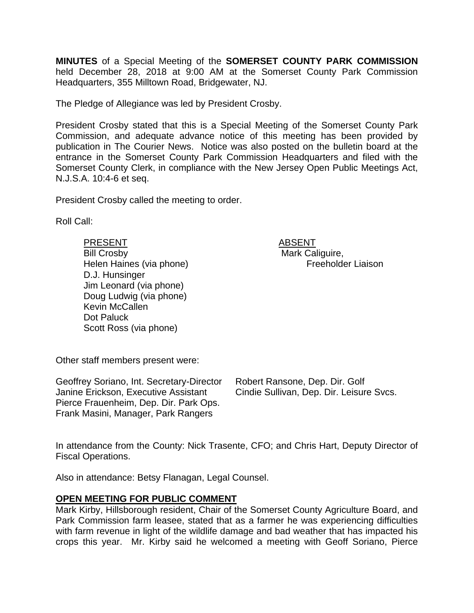**MINUTES** of a Special Meeting of the **SOMERSET COUNTY PARK COMMISSION** held December 28, 2018 at 9:00 AM at the Somerset County Park Commission Headquarters, 355 Milltown Road, Bridgewater, NJ.

The Pledge of Allegiance was led by President Crosby.

President Crosby stated that this is a Special Meeting of the Somerset County Park Commission, and adequate advance notice of this meeting has been provided by publication in The Courier News. Notice was also posted on the bulletin board at the entrance in the Somerset County Park Commission Headquarters and filed with the Somerset County Clerk, in compliance with the New Jersey Open Public Meetings Act, N.J.S.A. 10:4-6 et seq.

President Crosby called the meeting to order.

Roll Call:

PRESENT ABSENT Bill Crosby **Mark Caliguire**, Helen Haines (via phone) Freeholder Liaison D.J. Hunsinger Jim Leonard (via phone) Doug Ludwig (via phone) Kevin McCallen Dot Paluck Scott Ross (via phone)

Other staff members present were:

Geoffrey Soriano, Int. Secretary-Director Janine Erickson, Executive Assistant Pierce Frauenheim, Dep. Dir. Park Ops. Frank Masini, Manager, Park Rangers

Robert Ransone, Dep. Dir. Golf Cindie Sullivan, Dep. Dir. Leisure Svcs.

In attendance from the County: Nick Trasente, CFO; and Chris Hart, Deputy Director of Fiscal Operations.

Also in attendance: Betsy Flanagan, Legal Counsel.

# **OPEN MEETING FOR PUBLIC COMMENT**

Mark Kirby, Hillsborough resident, Chair of the Somerset County Agriculture Board, and Park Commission farm leasee, stated that as a farmer he was experiencing difficulties with farm revenue in light of the wildlife damage and bad weather that has impacted his crops this year. Mr. Kirby said he welcomed a meeting with Geoff Soriano, Pierce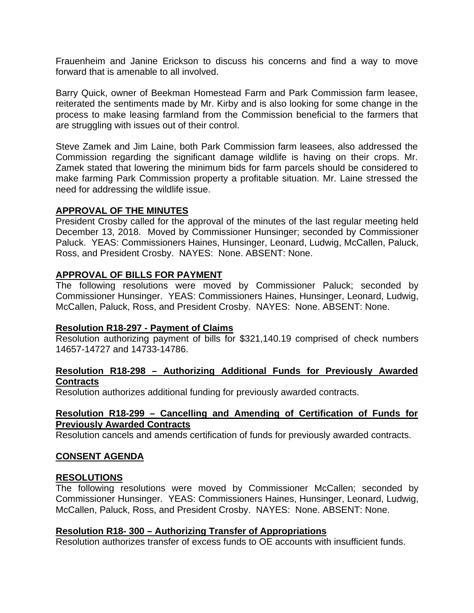Frauenheim and Janine Erickson to discuss his concerns and find a way to move forward that is amenable to all involved.

Barry Quick, owner of Beekman Homestead Farm and Park Commission farm leasee, reiterated the sentiments made by Mr. Kirby and is also looking for some change in the process to make leasing farmland from the Commission beneficial to the farmers that are struggling with issues out of their control.

Steve Zamek and Jim Laine, both Park Commission farm leasees, also addressed the Commission regarding the significant damage wildlife is having on their crops. Mr. Zamek stated that lowering the minimum bids for farm parcels should be considered to make farming Park Commission property a profitable situation. Mr. Laine stressed the need for addressing the wildlife issue.

## **APPROVAL OF THE MINUTES**

President Crosby called for the approval of the minutes of the last regular meeting held December 13, 2018. Moved by Commissioner Hunsinger; seconded by Commissioner Paluck. YEAS: Commissioners Haines, Hunsinger, Leonard, Ludwig, McCallen, Paluck, Ross, and President Crosby. NAYES: None. ABSENT: None.

## **APPROVAL OF BILLS FOR PAYMENT**

The following resolutions were moved by Commissioner Paluck; seconded by Commissioner Hunsinger. YEAS: Commissioners Haines, Hunsinger, Leonard, Ludwig, McCallen, Paluck, Ross, and President Crosby. NAYES: None. ABSENT: None.

#### **Resolution R18-297 - Payment of Claims**

Resolution authorizing payment of bills for \$321,140.19 comprised of check numbers 14657-14727 and 14733-14786.

# **Resolution R18-298 – Authorizing Additional Funds for Previously Awarded Contracts**

Resolution authorizes additional funding for previously awarded contracts.

## **Resolution R18-299 – Cancelling and Amending of Certification of Funds for Previously Awarded Contracts**

Resolution cancels and amends certification of funds for previously awarded contracts.

# **CONSENT AGENDA**

#### **RESOLUTIONS**

The following resolutions were moved by Commissioner McCallen; seconded by Commissioner Hunsinger. YEAS: Commissioners Haines, Hunsinger, Leonard, Ludwig, McCallen, Paluck, Ross, and President Crosby. NAYES: None. ABSENT: None.

#### **Resolution R18- 300 – Authorizing Transfer of Appropriations**

Resolution authorizes transfer of excess funds to OE accounts with insufficient funds.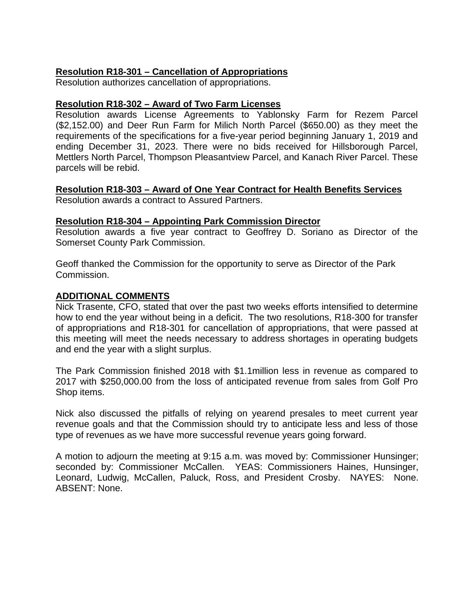# **Resolution R18-301 – Cancellation of Appropriations**

Resolution authorizes cancellation of appropriations.

# **Resolution R18-302 – Award of Two Farm Licenses**

Resolution awards License Agreements to Yablonsky Farm for Rezem Parcel (\$2,152.00) and Deer Run Farm for Milich North Parcel (\$650.00) as they meet the requirements of the specifications for a five-year period beginning January 1, 2019 and ending December 31, 2023. There were no bids received for Hillsborough Parcel, Mettlers North Parcel, Thompson Pleasantview Parcel, and Kanach River Parcel. These parcels will be rebid.

## **Resolution R18-303 – Award of One Year Contract for Health Benefits Services**

Resolution awards a contract to Assured Partners.

#### **Resolution R18-304 – Appointing Park Commission Director**

Resolution awards a five year contract to Geoffrey D. Soriano as Director of the Somerset County Park Commission.

Geoff thanked the Commission for the opportunity to serve as Director of the Park Commission.

#### **ADDITIONAL COMMENTS**

Nick Trasente, CFO, stated that over the past two weeks efforts intensified to determine how to end the year without being in a deficit. The two resolutions, R18-300 for transfer of appropriations and R18-301 for cancellation of appropriations, that were passed at this meeting will meet the needs necessary to address shortages in operating budgets and end the year with a slight surplus.

The Park Commission finished 2018 with \$1.1million less in revenue as compared to 2017 with \$250,000.00 from the loss of anticipated revenue from sales from Golf Pro Shop items.

Nick also discussed the pitfalls of relying on yearend presales to meet current year revenue goals and that the Commission should try to anticipate less and less of those type of revenues as we have more successful revenue years going forward.

A motion to adjourn the meeting at 9:15 a.m. was moved by: Commissioner Hunsinger; seconded by: Commissioner McCallen. YEAS: Commissioners Haines, Hunsinger, Leonard, Ludwig, McCallen, Paluck, Ross, and President Crosby. NAYES: None. ABSENT: None.